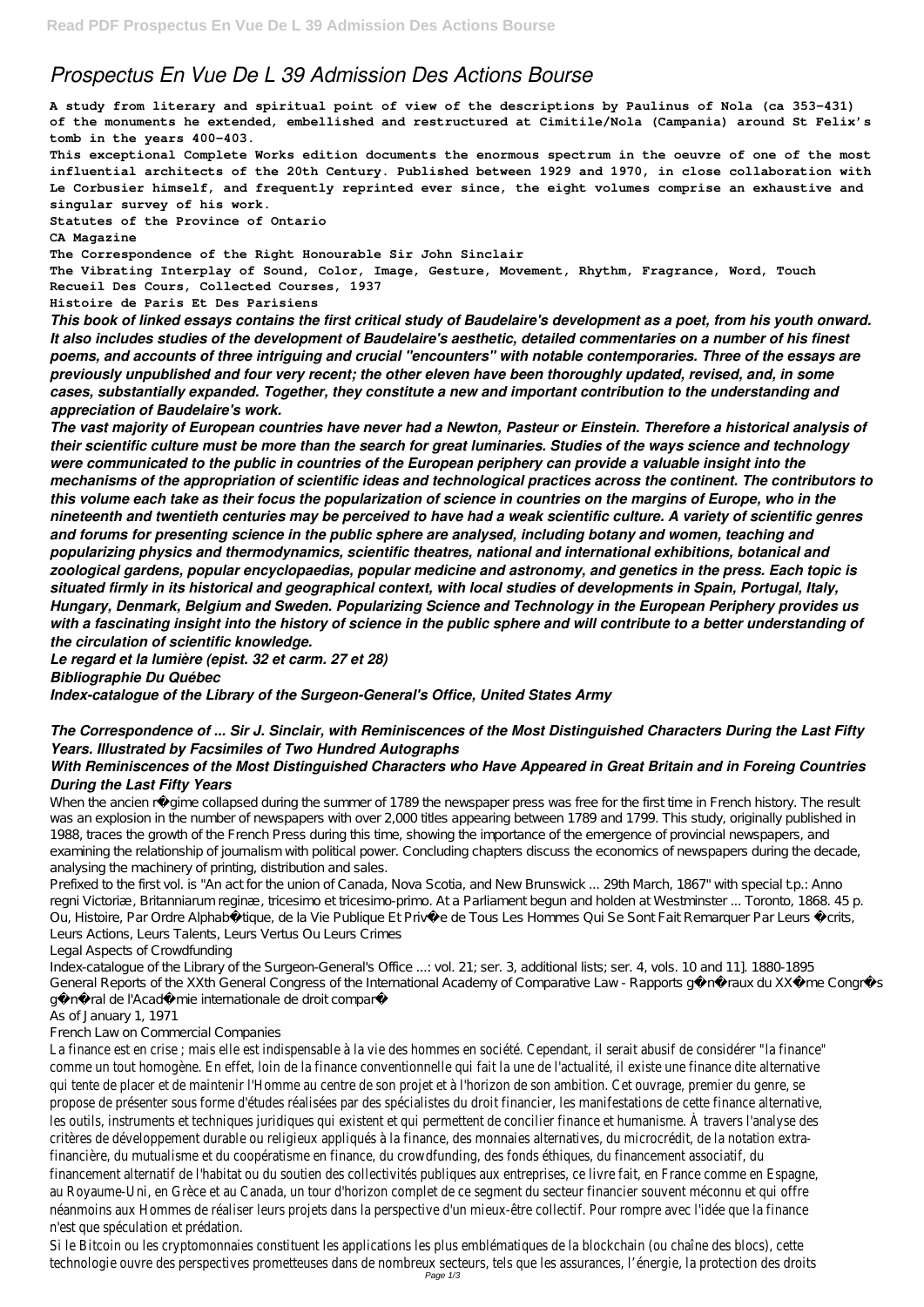# *Prospectus En Vue De L 39 Admission Des Actions Bourse*

**A study from literary and spiritual point of view of the descriptions by Paulinus of Nola (ca 353-431) of the monuments he extended, embellished and restructured at Cimitile/Nola (Campania) around St Felix's tomb in the years 400-403.**

**This exceptional Complete Works edition documents the enormous spectrum in the oeuvre of one of the most influential architects of the 20th Century. Published between 1929 and 1970, in close collaboration with Le Corbusier himself, and frequently reprinted ever since, the eight volumes comprise an exhaustive and singular survey of his work.**

**Statutes of the Province of Ontario**

#### **CA Magazine**

**The Correspondence of the Right Honourable Sir John Sinclair**

**The Vibrating Interplay of Sound, Color, Image, Gesture, Movement, Rhythm, Fragrance, Word, Touch Recueil Des Cours, Collected Courses, 1937**

**Histoire de Paris Et Des Parisiens**

*This book of linked essays contains the first critical study of Baudelaire's development as a poet, from his youth onward. It also includes studies of the development of Baudelaire's aesthetic, detailed commentaries on a number of his finest poems, and accounts of three intriguing and crucial "encounters" with notable contemporaries. Three of the essays are previously unpublished and four very recent; the other eleven have been thoroughly updated, revised, and, in some cases, substantially expanded. Together, they constitute a new and important contribution to the understanding and appreciation of Baudelaire's work.*

When the ancien régime collapsed during the summer of 1789 the newspaper press was free for the first time in French history. The result was an explosion in the number of newspapers with over 2,000 titles appearing between 1789 and 1799. This study, originally published in 1988, traces the growth of the French Press during this time, showing the importance of the emergence of provincial newspapers, and examining the relationship of journalism with political power. Concluding chapters discuss the economics of newspapers during the decade, analysing the machinery of printing, distribution and sales.

Prefixed to the first vol. is "An act for the union of Canada, Nova Scotia, and New Brunswick ... 29th March, 1867" with special t.p.: Anno regni Victoriæ, Britanniarum reginæ, tricesimo et tricesimo-primo. At a Parliament begun and holden at Westminster ... Toronto, 1868. 45 p. Ou, Histoire, Par Ordre Alphabétique, de la Vie Publique Et Privée de Tous Les Hommes Qui Se Sont Fait Remarquer Par Leurs Écrits, Leurs Actions, Leurs Talents, Leurs Vertus Ou Leurs Crimes

Index-catalogue of the Library of the Surgeon-General's Office ...: vol. 21; ser. 3, additional lists; ser. 4, vols. 10 and 11]. 1880-1895 General Reports of the XXth General Congress of the International Academy of Comparative Law - Rapports généraux du XXème Congrès

général de l'Académie internationale de droit comparé

*The vast majority of European countries have never had a Newton, Pasteur or Einstein. Therefore a historical analysis of their scientific culture must be more than the search for great luminaries. Studies of the ways science and technology were communicated to the public in countries of the European periphery can provide a valuable insight into the mechanisms of the appropriation of scientific ideas and technological practices across the continent. The contributors to this volume each take as their focus the popularization of science in countries on the margins of Europe, who in the nineteenth and twentieth centuries may be perceived to have had a weak scientific culture. A variety of scientific genres and forums for presenting science in the public sphere are analysed, including botany and women, teaching and popularizing physics and thermodynamics, scientific theatres, national and international exhibitions, botanical and zoological gardens, popular encyclopaedias, popular medicine and astronomy, and genetics in the press. Each topic is situated firmly in its historical and geographical context, with local studies of developments in Spain, Portugal, Italy, Hungary, Denmark, Belgium and Sweden. Popularizing Science and Technology in the European Periphery provides us with a fascinating insight into the history of science in the public sphere and will contribute to a better understanding of the circulation of scientific knowledge.*

*Le regard et la lumière (epist. 32 et carm. 27 et 28)*

*Bibliographie Du Québec*

*Index-catalogue of the Library of the Surgeon-General's Office, United States Army*

La finance est en crise ; mais elle est indispensable à la vie des hommes en société. Cependant, il serait abusif de considérer comme un tout homogène. En effet, loin de la finance conventionnelle qui fait la une de l'actualité, il existe une finance dite qui tente de placer et de maintenir l'Homme au centre de son projet et à l'horizon de son ambition. Cet ouvrage, premier du propose de présenter sous forme d'études réalisées par des spécialistes du droit financier, les manifestations de cette finar les outils, instruments et techniques juridiques qui existent et qui permettent de concilier finance et humanisme. À travers l critères de développement durable ou religieux appliqués à la finance, des monnaies alternatives, du microcrédit, de la notati financière, du mutualisme et du coopératisme en finance, du crowdfunding, des fonds éthiques, du financement associatif, d financement alternatif de l'habitat ou du soutien des collectivités publiques aux entreprises, ce livre fait, en France comme en Espagne, en Espagne, en Espagne, en Espagne, en Espagne, en Espagne, en Espagne, en Espagne, au Royaume-Uni, en Grèce et au Canada, un tour d'horizon complet de ce segment du secteur financier souvent méconnu et néanmoins aux Hommes de réaliser leurs projets dans la perspective d'un mieux-être collectif. Pour rompre avec l'idée que la n'est que spéculation et prédation.

# *The Correspondence of ... Sir J. Sinclair, with Reminiscences of the Most Distinguished Characters During the Last Fifty Years. Illustrated by Facsimiles of Two Hundred Autographs*

Si le Bitcoin ou les cryptomonnaies constituent les applications les plus emblématiques de la blockchain (ou chaîne des blocs technologie ouvre des perspectives prometteuses dans de nombreux secteurs, tels que les assurances, l'énergie, la protection Page 1/3

### *With Reminiscences of the Most Distinguished Characters who Have Appeared in Great Britain and in Foreing Countries During the Last Fifty Years*

Legal Aspects of Crowdfunding

As of January 1, 1971

French Law on Commercial Companies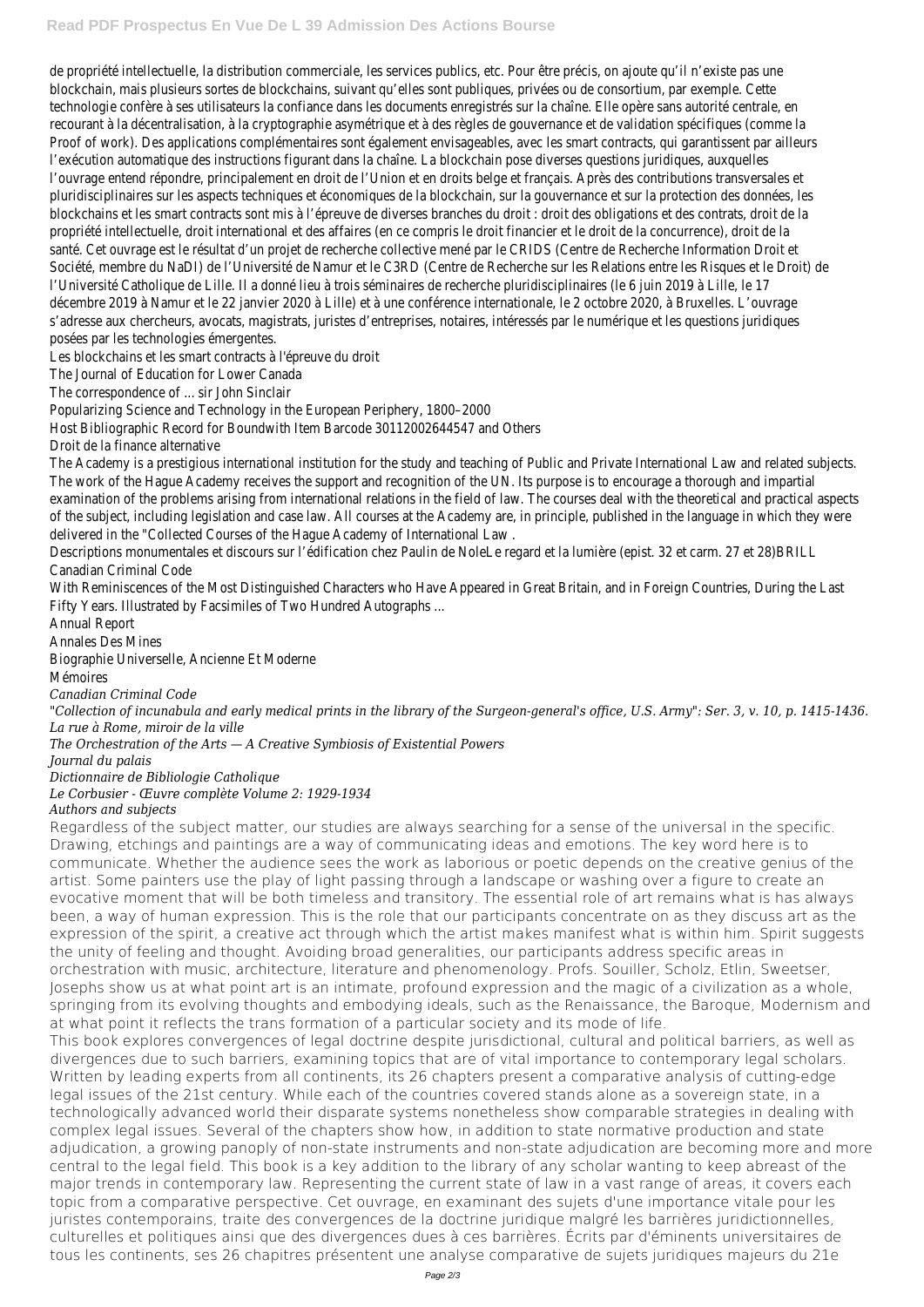de propriété intellectuelle, la distribution commerciale, les services publics, etc. Pour être précis, on ajoute qu'il n'existe pas blockchain, mais plusieurs sortes de blockchains, suivant qu'elles sont publiques, privées ou de consortium, par exemple. Cet technologie confère à ses utilisateurs la confiance dans les documents enregistrés sur la chaîne. Elle opère sans autorité ce recourant à la décentralisation, à la cryptographie asymétrique et à des règles de gouvernance et de validation spécifiques ( Proof of work). Des applications complémentaires sont également envisageables, avec les smart contracts, qui garantissent l'exécution automatique des instructions figurant dans la chaîne. La blockchain pose diverses questions juridiques, auxquelle l'ouvrage entend répondre, principalement en droit de l'Union et en droits belge et français. Après des contributions transver pluridisciplinaires sur les aspects techniques et économiques de la blockchain, sur la gouvernance et sur la protection des de blockchains et les smart contracts sont mis à l'épreuve de diverses branches du droit : droit des obligations et des contrats propriété intellectuelle, droit international et des affaires (en ce compris le droit financier et le droit de la concurrence), dro santé. Cet ouvrage est le résultat d'un projet de recherche collective mené par le CRIDS (Centre de Recherche Information D Société, membre du NaDI) de l'Université de Namur et le C3RD (Centre de Recherche sur les Relations entre les Risques et le l'Université Catholique de Lille. Il a donné lieu à trois séminaires de recherche pluridisciplinaires (le 6 juin 2019 à Lille, le 1 décembre 2019 à Namur et le 22 janvier 2020 à Lille) et à une conférence internationale, le 2 octobre 2020, à Bruxelles, L' s'adresse aux chercheurs, avocats, magistrats, juristes d'entreprises, notaires, intéressés par le numérique et les questions posées par les technologies émergentes.

Les blockchains et les smart contracts à l'épreuve du droit

The Journal of Education for Lower Canada

The Academy is a prestigious international institution for the study and teaching of Public and Private International Law and The work of the Hague Academy receives the support and recognition of the UN. Its purpose is to encourage a thorough an examination of the problems arising from international relations in the field of law. The courses deal with the theoretical an of the subject, including legislation and case law. All courses at the Academy are, in principle, published in the language in w delivered in the "Collected Courses of the Hague Academy of International Law .

Descriptions monumentales et discours sur l'édification chez Paulin de NoleLe regard et la lumière (epist. 32 et carm. 27 et Canadian Criminal Code

With Reminiscences of the Most Distinguished Characters who Have Appeared in Great Britain, and in Foreign Countries, Du Fifty Years. Illustrated by Facsimiles of Two Hundred Autographs ...

The correspondence of ... sir John Sinclair

Popularizing Science and Technology in the European Periphery, 1800–2000

Host Bibliographic Record for Boundwith Item Barcode 30112002644547 and Others

Droit de la finance alternative

Annual Report

Annales Des Mines

Biographie Universelle, Ancienne Et Moderne

Mémoires

*Canadian Criminal Code*

*"Collection of incunabula and early medical prints in the library of the Surgeon-general's office, U.S. Army": Ser. 3, v. 10, p. 1415-1436.*

*La rue à Rome, miroir de la ville*

*The Orchestration of the Arts — A Creative Symbiosis of Existential Powers*

*Journal du palais*

*Dictionnaire de Bibliologie Catholique*

# *Le Corbusier - Œuvre complète Volume 2: 1929-1934*

# *Authors and subjects*

Regardless of the subject matter, our studies are always searching for a sense of the universal in the specific. Drawing, etchings and paintings are a way of communicating ideas and emotions. The key word here is to communicate. Whether the audience sees the work as laborious or poetic depends on the creative genius of the artist. Some painters use the play of light passing through a landscape or washing over a figure to create an evocative moment that will be both timeless and transitory. The essential role of art remains what is has always been, a way of human expression. This is the role that our participants concentrate on as they discuss art as the expression of the spirit, a creative act through which the artist makes manifest what is within him. Spirit suggests the unity of feeling and thought. Avoiding broad generalities, our participants address specific areas in orchestration with music, architecture, literature and phenomenology. Profs. Souiller, Scholz, Etlin, Sweetser, Josephs show us at what point art is an intimate, profound expression and the magic of a civilization as a whole, springing from its evolving thoughts and embodying ideals, such as the Renaissance, the Baroque, Modernism and at what point it reflects the trans formation of a particular society and its mode of life. This book explores convergences of legal doctrine despite jurisdictional, cultural and political barriers, as well as divergences due to such barriers, examining topics that are of vital importance to contemporary legal scholars. Written by leading experts from all continents, its 26 chapters present a comparative analysis of cutting-edge legal issues of the 21st century. While each of the countries covered stands alone as a sovereign state, in a technologically advanced world their disparate systems nonetheless show comparable strategies in dealing with complex legal issues. Several of the chapters show how, in addition to state normative production and state adjudication, a growing panoply of non-state instruments and non-state adjudication are becoming more and more central to the legal field. This book is a key addition to the library of any scholar wanting to keep abreast of the major trends in contemporary law. Representing the current state of law in a vast range of areas, it covers each topic from a comparative perspective. Cet ouvrage, en examinant des sujets d'une importance vitale pour les juristes contemporains, traite des convergences de la doctrine juridique malgré les barrières juridictionnelles, culturelles et politiques ainsi que des divergences dues à ces barrières. Écrits par d'éminents universitaires de tous les continents, ses 26 chapitres présentent une analyse comparative de sujets juridiques majeurs du 21e